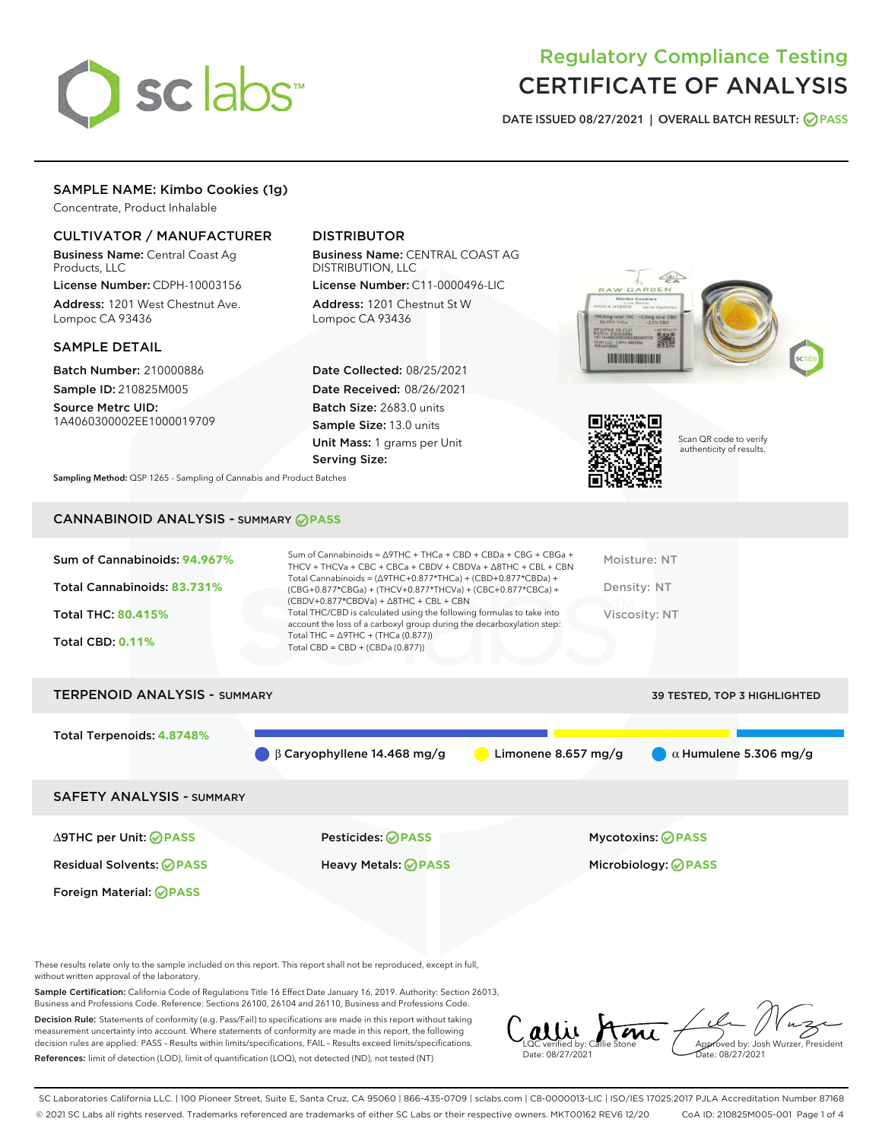

# Regulatory Compliance Testing CERTIFICATE OF ANALYSIS

DATE ISSUED 08/27/2021 | OVERALL BATCH RESULT: @ PASS

# SAMPLE NAME: Kimbo Cookies (1g)

Concentrate, Product Inhalable

# CULTIVATOR / MANUFACTURER

Business Name: Central Coast Ag Products, LLC

License Number: CDPH-10003156 Address: 1201 West Chestnut Ave. Lompoc CA 93436

#### SAMPLE DETAIL

Batch Number: 210000886 Sample ID: 210825M005 Source Metrc UID:

1A4060300002EE1000019709

# DISTRIBUTOR

Business Name: CENTRAL COAST AG DISTRIBUTION, LLC License Number: C11-0000496-LIC

Address: 1201 Chestnut St W Lompoc CA 93436

Date Collected: 08/25/2021 Date Received: 08/26/2021 Batch Size: 2683.0 units Sample Size: 13.0 units Unit Mass: 1 grams per Unit Serving Size:





Scan QR code to verify authenticity of results.

Sampling Method: QSP 1265 - Sampling of Cannabis and Product Batches

# CANNABINOID ANALYSIS - SUMMARY **PASS**

| Sum of Cannabinoids: 94.967%<br>Total Cannabinoids: 83.731%<br><b>Total THC: 80.415%</b><br><b>Total CBD: 0.11%</b> | Sum of Cannabinoids = $\triangle$ 9THC + THCa + CBD + CBDa + CBG + CBGa +<br>THCV + THCVa + CBC + CBCa + CBDV + CBDVa + $\land$ 8THC + CBL + CBN<br>Total Cannabinoids = $(\Delta$ 9THC+0.877*THCa) + (CBD+0.877*CBDa) +<br>(CBG+0.877*CBGa) + (THCV+0.877*THCVa) + (CBC+0.877*CBCa) +<br>$(CBDV+0.877*CBDVa) + \Delta 8THC + CBL + CBN$<br>Total THC/CBD is calculated using the following formulas to take into<br>account the loss of a carboxyl group during the decarboxylation step:<br>Total THC = $\triangle$ 9THC + (THCa (0.877))<br>Total CBD = $CBD + (CBDa (0.877))$ | Moisture: NT<br>Density: NT<br><b>Viscosity: NT</b> |
|---------------------------------------------------------------------------------------------------------------------|-----------------------------------------------------------------------------------------------------------------------------------------------------------------------------------------------------------------------------------------------------------------------------------------------------------------------------------------------------------------------------------------------------------------------------------------------------------------------------------------------------------------------------------------------------------------------------------|-----------------------------------------------------|
| <b>TERPENOID ANALYSIS - SUMMARY</b>                                                                                 |                                                                                                                                                                                                                                                                                                                                                                                                                                                                                                                                                                                   | 39 TESTED, TOP 3 HIGHLIGHTED                        |

Total Terpenoids: **4.8748%**

β Caryophyllene 14.468 mg/g **b** Limonene 8.657 mg/g  $\alpha$  Humulene 5.306 mg/g

SAFETY ANALYSIS - SUMMARY

∆9THC per Unit: **PASS** Pesticides: **PASS** Mycotoxins: **PASS**

Foreign Material: **PASS**

Residual Solvents: **PASS** Heavy Metals: **PASS** Microbiology: **PASS**

These results relate only to the sample included on this report. This report shall not be reproduced, except in full, without written approval of the laboratory.

Sample Certification: California Code of Regulations Title 16 Effect Date January 16, 2019. Authority: Section 26013, Business and Professions Code. Reference: Sections 26100, 26104 and 26110, Business and Professions Code.

Decision Rule: Statements of conformity (e.g. Pass/Fail) to specifications are made in this report without taking measurement uncertainty into account. Where statements of conformity are made in this report, the following decision rules are applied: PASS – Results within limits/specifications, FAIL – Results exceed limits/specifications. References: limit of detection (LOD), limit of quantification (LOQ), not detected (ND), not tested (NT)

LQC verified by: Callie Stone Date: 08/27/2021 Aved by: Josh Wurzer, President te: 08/27/2021

SC Laboratories California LLC. | 100 Pioneer Street, Suite E, Santa Cruz, CA 95060 | 866-435-0709 | sclabs.com | C8-0000013-LIC | ISO/IES 17025:2017 PJLA Accreditation Number 87168 © 2021 SC Labs all rights reserved. Trademarks referenced are trademarks of either SC Labs or their respective owners. MKT00162 REV6 12/20 CoA ID: 210825M005-001 Page 1 of 4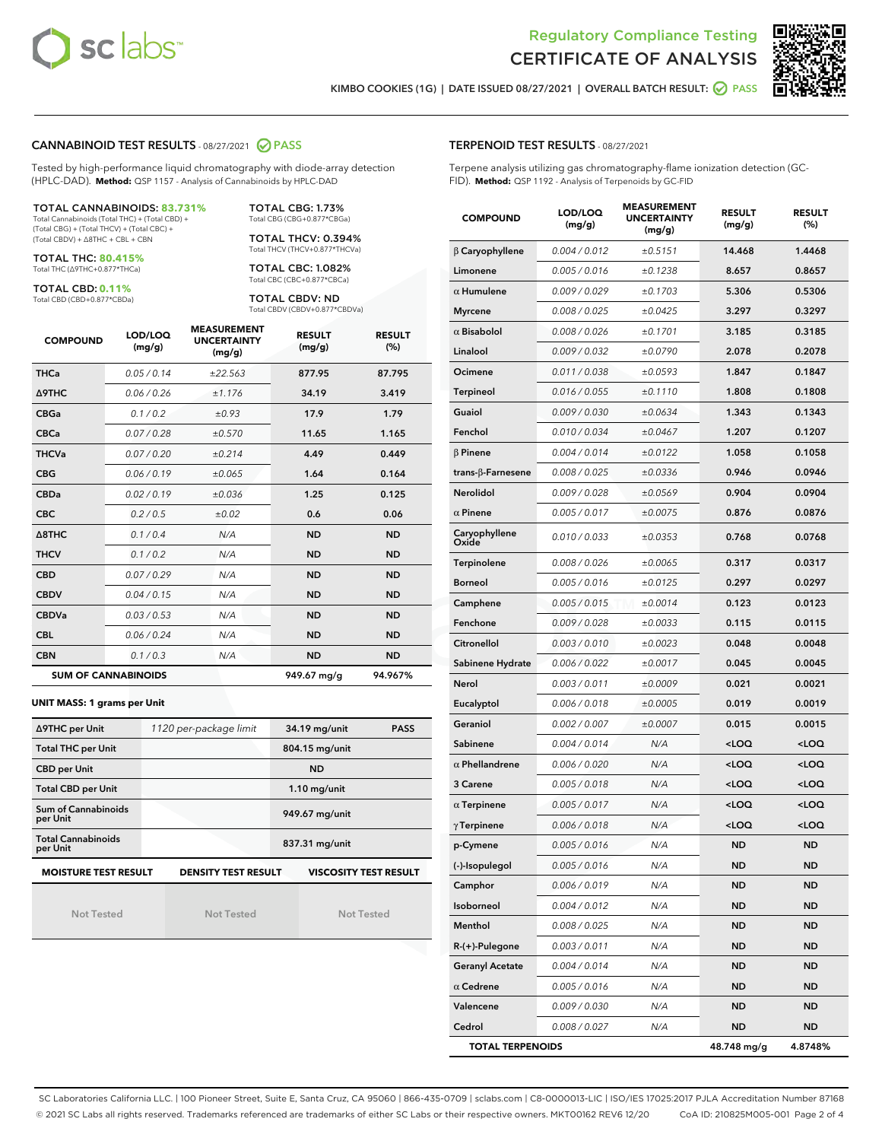



KIMBO COOKIES (1G) | DATE ISSUED 08/27/2021 | OVERALL BATCH RESULT: **● PASS** 

#### CANNABINOID TEST RESULTS - 08/27/2021 2 PASS

Tested by high-performance liquid chromatography with diode-array detection (HPLC-DAD). **Method:** QSP 1157 - Analysis of Cannabinoids by HPLC-DAD

#### TOTAL CANNABINOIDS: **83.731%**

Total Cannabinoids (Total THC) + (Total CBD) + (Total CBG) + (Total THCV) + (Total CBC) + (Total CBDV) + ∆8THC + CBL + CBN

TOTAL THC: **80.415%** Total THC (∆9THC+0.877\*THCa)

TOTAL CBD: **0.11%**

Total CBD (CBD+0.877\*CBDa)

TOTAL CBG: 1.73% Total CBG (CBG+0.877\*CBGa)

TOTAL THCV: 0.394% Total THCV (THCV+0.877\*THCVa)

TOTAL CBC: 1.082% Total CBC (CBC+0.877\*CBCa)

TOTAL CBDV: ND Total CBDV (CBDV+0.877\*CBDVa)

| <b>COMPOUND</b>  | LOD/LOQ<br>(mg/g)          | <b>MEASUREMENT</b><br><b>UNCERTAINTY</b><br>(mg/g) | <b>RESULT</b><br>(mg/g) | <b>RESULT</b><br>(%) |
|------------------|----------------------------|----------------------------------------------------|-------------------------|----------------------|
| <b>THCa</b>      | 0.05/0.14                  | ±22.563                                            | 877.95                  | 87.795               |
| <b>A9THC</b>     | 0.06 / 0.26                | ±1.176                                             | 34.19                   | 3.419                |
| <b>CBGa</b>      | 0.1/0.2                    | ±0.93                                              | 17.9                    | 1.79                 |
| <b>CBCa</b>      | 0.07/0.28                  | ±0.570                                             | 11.65                   | 1.165                |
| <b>THCVa</b>     | 0.07/0.20                  | ±0.214                                             | 4.49                    | 0.449                |
| <b>CBG</b>       | 0.06/0.19                  | ±0.065                                             | 1.64                    | 0.164                |
| <b>CBDa</b>      | 0.02/0.19                  | ±0.036                                             | 1.25                    | 0.125                |
| <b>CBC</b>       | 0.2 / 0.5                  | ±0.02                                              | 0.6                     | 0.06                 |
| $\triangle$ 8THC | 0.1/0.4                    | N/A                                                | <b>ND</b>               | <b>ND</b>            |
| <b>THCV</b>      | 0.1/0.2                    | N/A                                                | <b>ND</b>               | <b>ND</b>            |
| <b>CBD</b>       | 0.07/0.29                  | N/A                                                | <b>ND</b>               | <b>ND</b>            |
| <b>CBDV</b>      | 0.04 / 0.15                | N/A                                                | <b>ND</b>               | <b>ND</b>            |
| <b>CBDVa</b>     | 0.03/0.53                  | N/A                                                | <b>ND</b>               | <b>ND</b>            |
| <b>CBL</b>       | 0.06 / 0.24                | N/A                                                | <b>ND</b>               | <b>ND</b>            |
| <b>CBN</b>       | 0.1/0.3                    | N/A                                                | <b>ND</b>               | <b>ND</b>            |
|                  | <b>SUM OF CANNABINOIDS</b> |                                                    | 949.67 mg/g             | 94.967%              |

#### **UNIT MASS: 1 grams per Unit**

| ∆9THC per Unit                        | 1120 per-package limit     | 34.19 mg/unit<br><b>PASS</b> |  |  |
|---------------------------------------|----------------------------|------------------------------|--|--|
| <b>Total THC per Unit</b>             |                            | 804.15 mg/unit               |  |  |
| <b>CBD per Unit</b>                   |                            | <b>ND</b>                    |  |  |
| <b>Total CBD per Unit</b>             |                            | $1.10$ mg/unit               |  |  |
| Sum of Cannabinoids<br>per Unit       |                            | 949.67 mg/unit               |  |  |
| <b>Total Cannabinoids</b><br>per Unit |                            | 837.31 mg/unit               |  |  |
| <b>MOISTURE TEST RESULT</b>           | <b>DENSITY TEST RESULT</b> | <b>VISCOSITY TEST RESULT</b> |  |  |

Not Tested

Not Tested

Not Tested

#### TERPENOID TEST RESULTS - 08/27/2021

Terpene analysis utilizing gas chromatography-flame ionization detection (GC-FID). **Method:** QSP 1192 - Analysis of Terpenoids by GC-FID

| <b>COMPOUND</b>           | LOD/LOQ<br>(mg/g) | <b>MEASUREMENT</b><br><b>UNCERTAINTY</b><br>(mg/g) | <b>RESULT</b><br>(mg/g)                          | <b>RESULT</b><br>$(\%)$ |
|---------------------------|-------------------|----------------------------------------------------|--------------------------------------------------|-------------------------|
| $\beta$ Caryophyllene     | 0.004 / 0.012     | ±0.5151                                            | 14.468                                           | 1.4468                  |
| Limonene                  | 0.005 / 0.016     | ±0.1238                                            | 8.657                                            | 0.8657                  |
| $\alpha$ Humulene         | 0.009 / 0.029     | ±0.1703                                            | 5.306                                            | 0.5306                  |
| <b>Myrcene</b>            | 0.008 / 0.025     | ±0.0425                                            | 3.297                                            | 0.3297                  |
| $\alpha$ Bisabolol        | 0.008 / 0.026     | ±0.1701                                            | 3.185                                            | 0.3185                  |
| Linalool                  | 0.009/0.032       | ±0.0790                                            | 2.078                                            | 0.2078                  |
| Ocimene                   | 0.011 / 0.038     | ±0.0593                                            | 1.847                                            | 0.1847                  |
| <b>Terpineol</b>          | 0.016 / 0.055     | ±0.1110                                            | 1.808                                            | 0.1808                  |
| Guaiol                    | 0.009 / 0.030     | ±0.0634                                            | 1.343                                            | 0.1343                  |
| Fenchol                   | 0.010 / 0.034     | ±0.0467                                            | 1.207                                            | 0.1207                  |
| $\beta$ Pinene            | 0.004 / 0.014     | ±0.0122                                            | 1.058                                            | 0.1058                  |
| trans- $\beta$ -Farnesene | 0.008 / 0.025     | ±0.0336                                            | 0.946                                            | 0.0946                  |
| <b>Nerolidol</b>          | 0.009 / 0.028     | ±0.0569                                            | 0.904                                            | 0.0904                  |
| $\alpha$ Pinene           | 0.005 / 0.017     | ±0.0075                                            | 0.876                                            | 0.0876                  |
| Caryophyllene<br>Oxide    | 0.010 / 0.033     | ±0.0353                                            | 0.768                                            | 0.0768                  |
| Terpinolene               | 0.008 / 0.026     | ±0.0065                                            | 0.317                                            | 0.0317                  |
| <b>Borneol</b>            | 0.005 / 0.016     | ±0.0125                                            | 0.297                                            | 0.0297                  |
| Camphene                  | 0.005 / 0.015     | ±0.0014                                            | 0.123                                            | 0.0123                  |
| Fenchone                  | 0.009 / 0.028     | ±0.0033                                            | 0.115                                            | 0.0115                  |
| Citronellol               | 0.003 / 0.010     | ±0.0023                                            | 0.048                                            | 0.0048                  |
| Sabinene Hydrate          | 0.006 / 0.022     | ±0.0017                                            | 0.045                                            | 0.0045                  |
| Nerol                     | 0.003 / 0.011     | ±0.0009                                            | 0.021                                            | 0.0021                  |
| Eucalyptol                | 0.006 / 0.018     | ±0.0005                                            | 0.019                                            | 0.0019                  |
| Geraniol                  | 0.002 / 0.007     | ±0.0007                                            | 0.015                                            | 0.0015                  |
| Sabinene                  | 0.004 / 0.014     | N/A                                                | <loq< th=""><th><loq< th=""></loq<></th></loq<>  | <loq< th=""></loq<>     |
| $\alpha$ Phellandrene     | 0.006 / 0.020     | N/A                                                | <loq< th=""><th><loq< th=""></loq<></th></loq<>  | <loq< th=""></loq<>     |
| 3 Carene                  | 0.005 / 0.018     | N/A                                                | <loq< th=""><th><math>&lt;</math>LOQ</th></loq<> | $<$ LOQ                 |
| $\alpha$ Terpinene        | 0.005 / 0.017     | N/A                                                | <loq< th=""><th><loq< th=""></loq<></th></loq<>  | <loq< th=""></loq<>     |
| $\gamma$ Terpinene        | 0.006 / 0.018     | N/A                                                | <loq< th=""><th><loq< th=""></loq<></th></loq<>  | <loq< th=""></loq<>     |
| p-Cymene                  | 0.005 / 0.016     | N/A                                                | ND                                               | ND                      |
| (-)-Isopulegol            | 0.005 / 0.016     | N/A                                                | ND                                               | ND                      |
| Camphor                   | 0.006 / 0.019     | N/A                                                | ND                                               | ND                      |
| Isoborneol                | 0.004 / 0.012     | N/A                                                | ND                                               | <b>ND</b>               |
| Menthol                   | 0.008 / 0.025     | N/A                                                | <b>ND</b>                                        | <b>ND</b>               |
| R-(+)-Pulegone            | 0.003 / 0.011     | N/A                                                | ND                                               | ND                      |
| <b>Geranyl Acetate</b>    | 0.004 / 0.014     | N/A                                                | ND                                               | ND                      |
| $\alpha$ Cedrene          | 0.005 / 0.016     | N/A                                                | <b>ND</b>                                        | <b>ND</b>               |
| Valencene                 | 0.009 / 0.030     | N/A                                                | ND                                               | ND                      |
| Cedrol                    | 0.008 / 0.027     | N/A                                                | <b>ND</b>                                        | ND                      |
| <b>TOTAL TERPENOIDS</b>   |                   | 48.748 mg/g                                        | 4.8748%                                          |                         |

SC Laboratories California LLC. | 100 Pioneer Street, Suite E, Santa Cruz, CA 95060 | 866-435-0709 | sclabs.com | C8-0000013-LIC | ISO/IES 17025:2017 PJLA Accreditation Number 87168 © 2021 SC Labs all rights reserved. Trademarks referenced are trademarks of either SC Labs or their respective owners. MKT00162 REV6 12/20 CoA ID: 210825M005-001 Page 2 of 4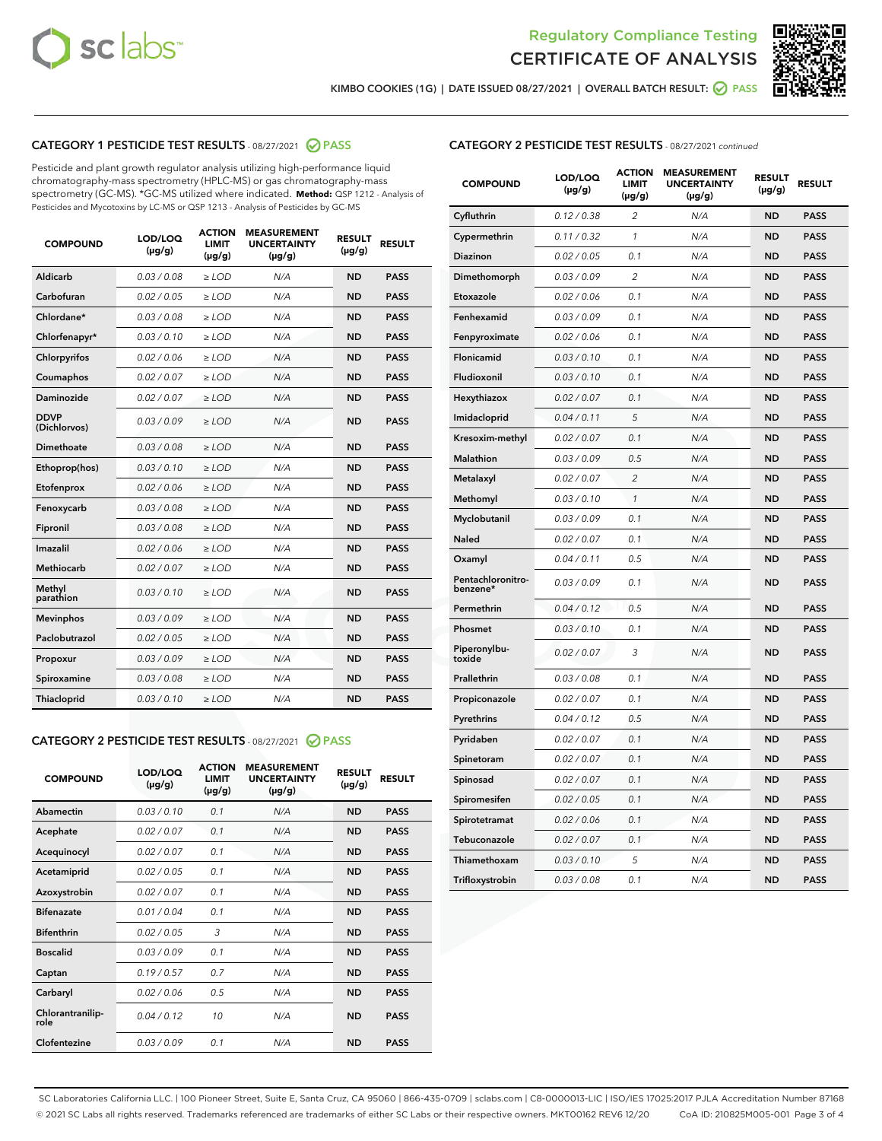



KIMBO COOKIES (1G) | DATE ISSUED 08/27/2021 | OVERALL BATCH RESULT:  $\bigcirc$  PASS

# CATEGORY 1 PESTICIDE TEST RESULTS - 08/27/2021 2 PASS

Pesticide and plant growth regulator analysis utilizing high-performance liquid chromatography-mass spectrometry (HPLC-MS) or gas chromatography-mass spectrometry (GC-MS). \*GC-MS utilized where indicated. **Method:** QSP 1212 - Analysis of Pesticides and Mycotoxins by LC-MS or QSP 1213 - Analysis of Pesticides by GC-MS

| <b>COMPOUND</b>             | LOD/LOQ<br>$(\mu g/g)$ | <b>ACTION</b><br><b>LIMIT</b><br>$(\mu g/g)$ | <b>MEASUREMENT</b><br><b>UNCERTAINTY</b><br>$(\mu g/g)$ | <b>RESULT</b><br>$(\mu g/g)$ | <b>RESULT</b> |
|-----------------------------|------------------------|----------------------------------------------|---------------------------------------------------------|------------------------------|---------------|
| Aldicarb                    | 0.03/0.08              | $>$ LOD                                      | N/A                                                     | <b>ND</b>                    | <b>PASS</b>   |
| Carbofuran                  | 0.02 / 0.05            | $\ge$ LOD                                    | N/A                                                     | <b>ND</b>                    | <b>PASS</b>   |
| Chlordane*                  | 0.03 / 0.08            | $\ge$ LOD                                    | N/A                                                     | <b>ND</b>                    | <b>PASS</b>   |
| Chlorfenapyr*               | 0.03/0.10              | $\ge$ LOD                                    | N/A                                                     | <b>ND</b>                    | <b>PASS</b>   |
| Chlorpyrifos                | 0.02 / 0.06            | $\ge$ LOD                                    | N/A                                                     | <b>ND</b>                    | <b>PASS</b>   |
| Coumaphos                   | 0.02 / 0.07            | $\ge$ LOD                                    | N/A                                                     | <b>ND</b>                    | <b>PASS</b>   |
| Daminozide                  | 0.02/0.07              | $>$ LOD                                      | N/A                                                     | <b>ND</b>                    | <b>PASS</b>   |
| <b>DDVP</b><br>(Dichlorvos) | 0.03/0.09              | $\ge$ LOD                                    | N/A                                                     | <b>ND</b>                    | <b>PASS</b>   |
| <b>Dimethoate</b>           | 0.03 / 0.08            | $\ge$ LOD                                    | N/A                                                     | <b>ND</b>                    | <b>PASS</b>   |
| Ethoprop(hos)               | 0.03/0.10              | $\ge$ LOD                                    | N/A                                                     | <b>ND</b>                    | <b>PASS</b>   |
| Etofenprox                  | 0.02 / 0.06            | $\ge$ LOD                                    | N/A                                                     | <b>ND</b>                    | <b>PASS</b>   |
| Fenoxycarb                  | 0.03/0.08              | $\ge$ LOD                                    | N/A                                                     | <b>ND</b>                    | <b>PASS</b>   |
| Fipronil                    | 0.03 / 0.08            | $\ge$ LOD                                    | N/A                                                     | <b>ND</b>                    | <b>PASS</b>   |
| Imazalil                    | 0.02 / 0.06            | $\geq$ LOD                                   | N/A                                                     | <b>ND</b>                    | <b>PASS</b>   |
| Methiocarb                  | 0.02 / 0.07            | $>$ LOD                                      | N/A                                                     | <b>ND</b>                    | <b>PASS</b>   |
| Methyl<br>parathion         | 0.03/0.10              | $\ge$ LOD                                    | N/A                                                     | <b>ND</b>                    | <b>PASS</b>   |
| <b>Mevinphos</b>            | 0.03/0.09              | $\ge$ LOD                                    | N/A                                                     | <b>ND</b>                    | <b>PASS</b>   |
| Paclobutrazol               | 0.02 / 0.05            | $>$ LOD                                      | N/A                                                     | <b>ND</b>                    | <b>PASS</b>   |
| Propoxur                    | 0.03/0.09              | $\ge$ LOD                                    | N/A                                                     | <b>ND</b>                    | <b>PASS</b>   |
| Spiroxamine                 | 0.03 / 0.08            | $\ge$ LOD                                    | N/A                                                     | <b>ND</b>                    | <b>PASS</b>   |
| <b>Thiacloprid</b>          | 0.03/0.10              | $\ge$ LOD                                    | N/A                                                     | <b>ND</b>                    | <b>PASS</b>   |

#### CATEGORY 2 PESTICIDE TEST RESULTS - 08/27/2021 @ PASS

| <b>COMPOUND</b>          | LOD/LOO<br>$(\mu g/g)$ | <b>ACTION</b><br>LIMIT<br>$(\mu g/g)$ | <b>MEASUREMENT</b><br><b>UNCERTAINTY</b><br>$(\mu g/g)$ | <b>RESULT</b><br>$(\mu g/g)$ | <b>RESULT</b> |  |
|--------------------------|------------------------|---------------------------------------|---------------------------------------------------------|------------------------------|---------------|--|
| Abamectin                | 0.03/0.10              | 0.1                                   | N/A                                                     | <b>ND</b>                    | <b>PASS</b>   |  |
| Acephate                 | 0.02/0.07              | 0.1                                   | N/A                                                     | <b>ND</b>                    | <b>PASS</b>   |  |
| Acequinocyl              | 0.02/0.07              | 0.1                                   | N/A                                                     | <b>ND</b>                    | <b>PASS</b>   |  |
| Acetamiprid              | 0.02 / 0.05            | 0.1                                   | N/A                                                     | <b>ND</b>                    | <b>PASS</b>   |  |
| Azoxystrobin             | 0.02/0.07              | 0.1                                   | N/A                                                     | <b>ND</b>                    | <b>PASS</b>   |  |
| <b>Bifenazate</b>        | 0.01 / 0.04            | 0.1                                   | N/A                                                     | <b>ND</b>                    | <b>PASS</b>   |  |
| <b>Bifenthrin</b>        | 0.02 / 0.05            | 3                                     | N/A                                                     | <b>ND</b>                    | <b>PASS</b>   |  |
| <b>Boscalid</b>          | 0.03/0.09              | 0.1                                   | N/A                                                     | <b>ND</b>                    | <b>PASS</b>   |  |
| Captan                   | 0.19/0.57              | 0.7                                   | N/A                                                     | <b>ND</b>                    | <b>PASS</b>   |  |
| Carbaryl                 | 0.02/0.06              | 0.5                                   | N/A                                                     | <b>ND</b>                    | <b>PASS</b>   |  |
| Chlorantranilip-<br>role | 0.04/0.12              | 10                                    | N/A                                                     | <b>ND</b>                    | <b>PASS</b>   |  |
| Clofentezine             | 0.03/0.09              | 0.1                                   | N/A                                                     | <b>ND</b>                    | <b>PASS</b>   |  |

| <b>CATEGORY 2 PESTICIDE TEST RESULTS</b> - 08/27/2021 continued |
|-----------------------------------------------------------------|
|-----------------------------------------------------------------|

| <b>COMPOUND</b>               | LOD/LOQ<br>(µg/g) | <b>ACTION</b><br>LIMIT<br>$(\mu g/g)$ | <b>MEASUREMENT</b><br><b>UNCERTAINTY</b><br>$(\mu g/g)$ | <b>RESULT</b><br>(µg/g) | <b>RESULT</b> |
|-------------------------------|-------------------|---------------------------------------|---------------------------------------------------------|-------------------------|---------------|
| Cyfluthrin                    | 0.12 / 0.38       | 2                                     | N/A                                                     | <b>ND</b>               | <b>PASS</b>   |
| Cypermethrin                  | 0.11 / 0.32       | $\mathcal{I}$                         | N/A                                                     | <b>ND</b>               | <b>PASS</b>   |
| Diazinon                      | 0.02 / 0.05       | 0.1                                   | N/A                                                     | <b>ND</b>               | <b>PASS</b>   |
| Dimethomorph                  | 0.03 / 0.09       | 2                                     | N/A                                                     | <b>ND</b>               | <b>PASS</b>   |
| Etoxazole                     | 0.02 / 0.06       | 0.1                                   | N/A                                                     | <b>ND</b>               | <b>PASS</b>   |
| Fenhexamid                    | 0.03 / 0.09       | 0.1                                   | N/A                                                     | <b>ND</b>               | <b>PASS</b>   |
| Fenpyroximate                 | 0.02 / 0.06       | 0.1                                   | N/A                                                     | <b>ND</b>               | <b>PASS</b>   |
| Flonicamid                    | 0.03 / 0.10       | 0.1                                   | N/A                                                     | <b>ND</b>               | <b>PASS</b>   |
| Fludioxonil                   | 0.03 / 0.10       | 0.1                                   | N/A                                                     | <b>ND</b>               | <b>PASS</b>   |
| Hexythiazox                   | 0.02 / 0.07       | 0.1                                   | N/A                                                     | <b>ND</b>               | <b>PASS</b>   |
| Imidacloprid                  | 0.04 / 0.11       | 5                                     | N/A                                                     | <b>ND</b>               | <b>PASS</b>   |
| Kresoxim-methyl               | 0.02 / 0.07       | 0.1                                   | N/A                                                     | <b>ND</b>               | <b>PASS</b>   |
| Malathion                     | 0.03 / 0.09       | 0.5                                   | N/A                                                     | <b>ND</b>               | <b>PASS</b>   |
| Metalaxyl                     | 0.02 / 0.07       | $\overline{c}$                        | N/A                                                     | <b>ND</b>               | <b>PASS</b>   |
| Methomyl                      | 0.03 / 0.10       | $\mathcal{I}$                         | N/A                                                     | <b>ND</b>               | <b>PASS</b>   |
| Myclobutanil                  | 0.03 / 0.09       | 0.1                                   | N/A                                                     | <b>ND</b>               | <b>PASS</b>   |
| Naled                         | 0.02 / 0.07       | 0.1                                   | N/A                                                     | <b>ND</b>               | <b>PASS</b>   |
| Oxamyl                        | 0.04 / 0.11       | 0.5                                   | N/A                                                     | <b>ND</b>               | <b>PASS</b>   |
| Pentachloronitro-<br>benzene* | 0.03/0.09         | 0.1                                   | N/A                                                     | <b>ND</b>               | <b>PASS</b>   |
| Permethrin                    | 0.04 / 0.12       | 0.5                                   | N/A                                                     | <b>ND</b>               | <b>PASS</b>   |
| Phosmet                       | 0.03 / 0.10       | 0.1                                   | N/A                                                     | <b>ND</b>               | <b>PASS</b>   |
| Piperonylbu-<br>toxide        | 0.02 / 0.07       | 3                                     | N/A                                                     | <b>ND</b>               | <b>PASS</b>   |
| Prallethrin                   | 0.03 / 0.08       | 0.1                                   | N/A                                                     | <b>ND</b>               | <b>PASS</b>   |
| Propiconazole                 | 0.02 / 0.07       | 0.1                                   | N/A                                                     | <b>ND</b>               | <b>PASS</b>   |
| Pyrethrins                    | 0.04 / 0.12       | 0.5                                   | N/A                                                     | <b>ND</b>               | <b>PASS</b>   |
| Pyridaben                     | 0.02 / 0.07       | 0.1                                   | N/A                                                     | <b>ND</b>               | <b>PASS</b>   |
| Spinetoram                    | 0.02 / 0.07       | 0.1                                   | N/A                                                     | <b>ND</b>               | <b>PASS</b>   |
| Spinosad                      | 0.02 / 0.07       | 0.1                                   | N/A                                                     | <b>ND</b>               | <b>PASS</b>   |
| Spiromesifen                  | 0.02 / 0.05       | 0.1                                   | N/A                                                     | <b>ND</b>               | <b>PASS</b>   |
| Spirotetramat                 | 0.02 / 0.06       | 0.1                                   | N/A                                                     | <b>ND</b>               | <b>PASS</b>   |
| Tebuconazole                  | 0.02 / 0.07       | 0.1                                   | N/A                                                     | <b>ND</b>               | <b>PASS</b>   |
| Thiamethoxam                  | 0.03 / 0.10       | 5                                     | N/A                                                     | <b>ND</b>               | <b>PASS</b>   |
| Trifloxystrobin               | 0.03 / 0.08       | 0.1                                   | N/A                                                     | <b>ND</b>               | <b>PASS</b>   |

SC Laboratories California LLC. | 100 Pioneer Street, Suite E, Santa Cruz, CA 95060 | 866-435-0709 | sclabs.com | C8-0000013-LIC | ISO/IES 17025:2017 PJLA Accreditation Number 87168 © 2021 SC Labs all rights reserved. Trademarks referenced are trademarks of either SC Labs or their respective owners. MKT00162 REV6 12/20 CoA ID: 210825M005-001 Page 3 of 4